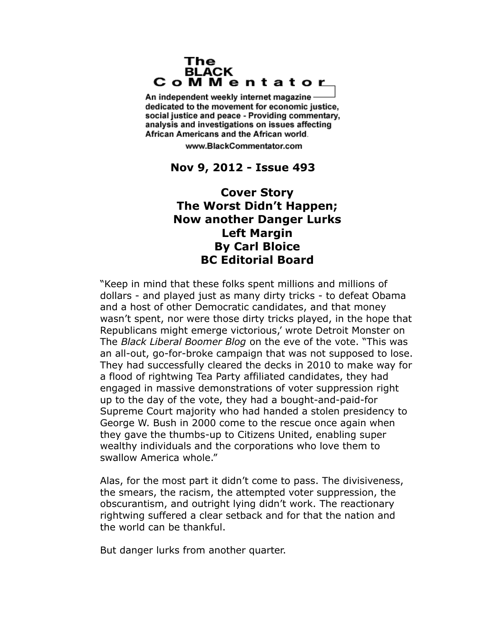## The **BLACK** CoMMentator

An independent weekly internet magazine dedicated to the movement for economic justice. social justice and peace - Providing commentary, analysis and investigations on issues affecting African Americans and the African world.

www.BlackCommentator.com

## **Nov 9, 2012 - Issue 493**

## **Cover Story The Worst Didn't Happen; Now another Danger Lurks Left Margin By Carl Bloice BC Editorial Board**

"Keep in mind that these folks spent millions and millions of dollars - and played just as many dirty tricks - to defeat Obama and a host of other Democratic candidates, and that money wasn't spent, nor were those dirty tricks played, in the hope that Republicans might emerge victorious,' wrote Detroit Monster on The *Black Liberal Boomer Blog* on the eve of the vote. "This was an all-out, go-for-broke campaign that was not supposed to lose. They had successfully cleared the decks in 2010 to make way for a flood of rightwing Tea Party affiliated candidates, they had engaged in massive demonstrations of voter suppression right up to the day of the vote, they had a bought-and-paid-for Supreme Court majority who had handed a stolen presidency to George W. Bush in 2000 come to the rescue once again when they gave the thumbs-up to Citizens United, enabling super wealthy individuals and the corporations who love them to swallow America whole."

Alas, for the most part it didn't come to pass. The divisiveness, the smears, the racism, the attempted voter suppression, the obscurantism, and outright lying didn't work. The reactionary rightwing suffered a clear setback and for that the nation and the world can be thankful.

But danger lurks from another quarter.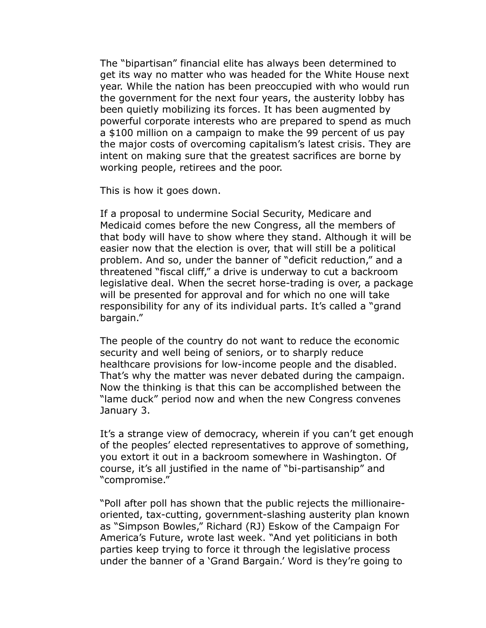The "bipartisan" financial elite has always been determined to get its way no matter who was headed for the White House next year. While the nation has been preoccupied with who would run the government for the next four years, the austerity lobby has been quietly mobilizing its forces. It has been augmented by powerful corporate interests who are prepared to spend as much a \$100 million on a campaign to make the 99 percent of us pay the major costs of overcoming capitalism's latest crisis. They are intent on making sure that the greatest sacrifices are borne by working people, retirees and the poor.

This is how it goes down.

If a proposal to undermine Social Security, Medicare and Medicaid comes before the new Congress, all the members of that body will have to show where they stand. Although it will be easier now that the election is over, that will still be a political problem. And so, under the banner of "deficit reduction," and a threatened "fiscal cliff," a drive is underway to cut a backroom legislative deal. When the secret horse-trading is over, a package will be presented for approval and for which no one will take responsibility for any of its individual parts. It's called a "grand bargain."

The people of the country do not want to reduce the economic security and well being of seniors, or to sharply reduce healthcare provisions for low-income people and the disabled. That's why the matter was never debated during the campaign. Now the thinking is that this can be accomplished between the "lame duck" period now and when the new Congress convenes January 3.

It's a strange view of democracy, wherein if you can't get enough of the peoples' elected representatives to approve of something, you extort it out in a backroom somewhere in Washington. Of course, it's all justified in the name of "bi-partisanship" and "compromise."

"Poll after poll has shown that the public rejects the millionaireoriented, tax-cutting, government-slashing austerity plan known as "Simpson Bowles," Richard (RJ) Eskow of the Campaign For America's Future, wrote last week. "And yet politicians in both parties keep trying to force it through the legislative process under the banner of a 'Grand Bargain.' Word is they're going to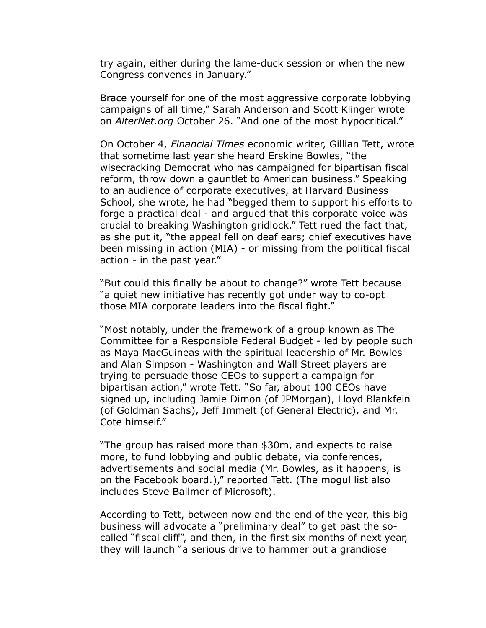try again, either during the lame-duck session or when the new Congress convenes in January."

Brace yourself for one of the most aggressive corporate lobbying campaigns of all time," Sarah Anderson and Scott Klinger wrote on *AlterNet.org* October 26. "And one of the most hypocritical."

On October 4, *Financial Times* economic writer, Gillian Tett, wrote that sometime last year she heard Erskine Bowles, "the wisecracking Democrat who has campaigned for bipartisan fiscal reform, throw down a gauntlet to American business." Speaking to an audience of corporate executives, at Harvard Business School, she wrote, he had "begged them to support his efforts to forge a practical deal - and argued that this corporate voice was crucial to breaking Washington gridlock." Tett rued the fact that, as she put it, "the appeal fell on deaf ears; chief executives have been missing in action (MIA) - or missing from the political fiscal action - in the past year."

"But could this finally be about to change?" wrote Tett because "a quiet new initiative has recently got under way to co-opt those MIA corporate leaders into the fiscal fight."

"Most notably, under the framework of a group known as The Committee for a Responsible Federal Budget - led by people such as Maya MacGuineas with the spiritual leadership of Mr. Bowles and Alan Simpson - Washington and Wall Street players are trying to persuade those CEOs to support a campaign for bipartisan action," wrote Tett. "So far, about 100 CEOs have signed up, including Jamie Dimon (of JPMorgan), Lloyd Blankfein (of Goldman Sachs), Jeff Immelt (of General Electric), and Mr. Cote himself."

"The group has raised more than \$30m, and expects to raise more, to fund lobbying and public debate, via conferences, advertisements and social media (Mr. Bowles, as it happens, is on the Facebook board.)," reported Tett. (The mogul list also includes Steve Ballmer of Microsoft).

According to Tett, between now and the end of the year, this big business will advocate a "preliminary deal" to get past the socalled "fiscal cliff", and then, in the first six months of next year, they will launch "a serious drive to hammer out a grandiose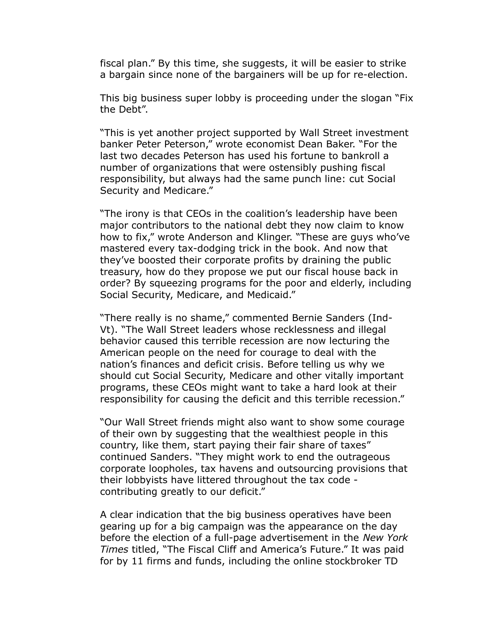fiscal plan." By this time, she suggests, it will be easier to strike a bargain since none of the bargainers will be up for re-election.

This big business super lobby is proceeding under the slogan "Fix the Debt".

"This is yet another project supported by Wall Street investment banker Peter Peterson," wrote economist Dean Baker. "For the last two decades Peterson has used his fortune to bankroll a number of organizations that were ostensibly pushing fiscal responsibility, but always had the same punch line: cut Social Security and Medicare."

"The irony is that CEOs in the coalition's leadership have been major contributors to the national debt they now claim to know how to fix," wrote Anderson and Klinger. "These are guys who've mastered every tax-dodging trick in the book. And now that they've boosted their corporate profits by draining the public treasury, how do they propose we put our fiscal house back in order? By squeezing programs for the poor and elderly, including Social Security, Medicare, and Medicaid."

"There really is no shame," commented Bernie Sanders (Ind-Vt). "The Wall Street leaders whose recklessness and illegal behavior caused this terrible recession are now lecturing the American people on the need for courage to deal with the nation's finances and deficit crisis. Before telling us why we should cut Social Security, Medicare and other vitally important programs, these CEOs might want to take a hard look at their responsibility for causing the deficit and this terrible recession."

"Our Wall Street friends might also want to show some courage of their own by suggesting that the wealthiest people in this country, like them, start paying their fair share of taxes" continued Sanders. "They might work to end the outrageous corporate loopholes, tax havens and outsourcing provisions that their lobbyists have littered throughout the tax code contributing greatly to our deficit."

A clear indication that the big business operatives have been gearing up for a big campaign was the appearance on the day before the election of a full-page advertisement in the *New York Times* titled, "The Fiscal Cliff and America's Future." It was paid for by 11 firms and funds, including the online stockbroker TD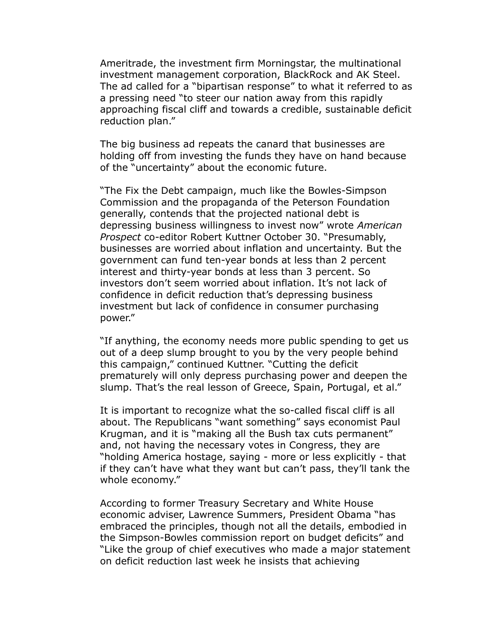Ameritrade, the investment firm Morningstar, the multinational investment management corporation, BlackRock and AK Steel. The ad called for a "bipartisan response" to what it referred to as a pressing need "to steer our nation away from this rapidly approaching fiscal cliff and towards a credible, sustainable deficit reduction plan."

The big business ad repeats the canard that businesses are holding off from investing the funds they have on hand because of the "uncertainty" about the economic future.

"The Fix the Debt campaign, much like the Bowles-Simpson Commission and the propaganda of the Peterson Foundation generally, contends that the projected national debt is depressing business willingness to invest now" wrote *American Prospect* co-editor Robert Kuttner October 30. "Presumably, businesses are worried about inflation and uncertainty. But the government can fund ten-year bonds at less than 2 percent interest and thirty-year bonds at less than 3 percent. So investors don't seem worried about inflation. It's not lack of confidence in deficit reduction that's depressing business investment but lack of confidence in consumer purchasing power."

"If anything, the economy needs more public spending to get us out of a deep slump brought to you by the very people behind this campaign," continued Kuttner. "Cutting the deficit prematurely will only depress purchasing power and deepen the slump. That's the real lesson of Greece, Spain, Portugal, et al."

It is important to recognize what the so-called fiscal cliff is all about. The Republicans "want something" says economist Paul Krugman, and it is "making all the Bush tax cuts permanent" and, not having the necessary votes in Congress, they are "holding America hostage, saying - more or less explicitly - that if they can't have what they want but can't pass, they'll tank the whole economy."

According to former Treasury Secretary and White House economic adviser, Lawrence Summers, President Obama "has embraced the principles, though not all the details, embodied in the Simpson-Bowles commission report on budget deficits" and "Like the group of chief executives who made a major statement on deficit reduction last week he insists that achieving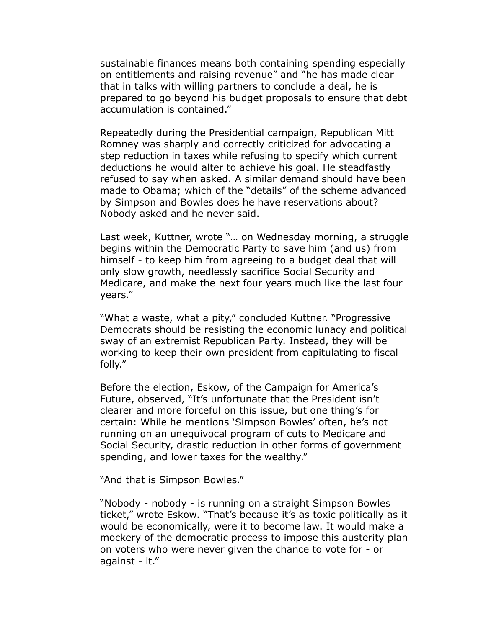sustainable finances means both containing spending especially on entitlements and raising revenue" and "he has made clear that in talks with willing partners to conclude a deal, he is prepared to go beyond his budget proposals to ensure that debt accumulation is contained."

Repeatedly during the Presidential campaign, Republican Mitt Romney was sharply and correctly criticized for advocating a step reduction in taxes while refusing to specify which current deductions he would alter to achieve his goal. He steadfastly refused to say when asked. A similar demand should have been made to Obama; which of the "details" of the scheme advanced by Simpson and Bowles does he have reservations about? Nobody asked and he never said.

Last week, Kuttner, wrote "… on Wednesday morning, a struggle begins within the Democratic Party to save him (and us) from himself - to keep him from agreeing to a budget deal that will only slow growth, needlessly sacrifice Social Security and Medicare, and make the next four years much like the last four years."

"What a waste, what a pity," concluded Kuttner. "Progressive Democrats should be resisting the economic lunacy and political sway of an extremist Republican Party. Instead, they will be working to keep their own president from capitulating to fiscal folly."

Before the election, Eskow, of the Campaign for America's Future, observed, "It's unfortunate that the President isn't clearer and more forceful on this issue, but one thing's for certain: While he mentions 'Simpson Bowles' often, he's not running on an unequivocal program of cuts to Medicare and Social Security, drastic reduction in other forms of government spending, and lower taxes for the wealthy."

"And that is Simpson Bowles."

"Nobody - nobody - is running on a straight Simpson Bowles ticket," wrote Eskow. "That's because it's as toxic politically as it would be economically, were it to become law. It would make a mockery of the democratic process to impose this austerity plan on voters who were never given the chance to vote for - or against - it."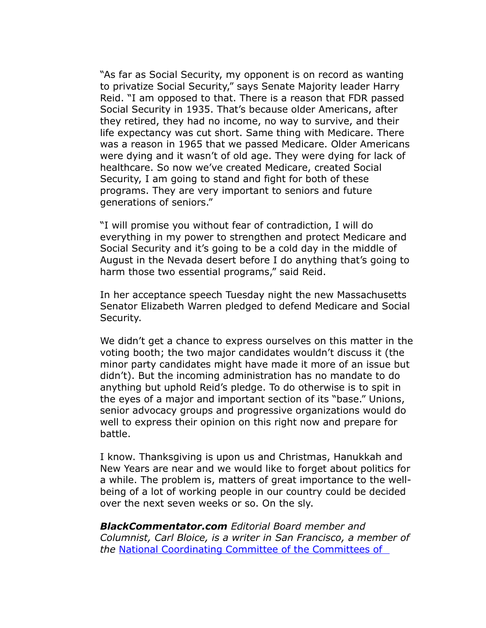"As far as Social Security, my opponent is on record as wanting to privatize Social Security," says Senate Majority leader Harry Reid. "I am opposed to that. There is a reason that FDR passed Social Security in 1935. That's because older Americans, after they retired, they had no income, no way to survive, and their life expectancy was cut short. Same thing with Medicare. There was a reason in 1965 that we passed Medicare. Older Americans were dying and it wasn't of old age. They were dying for lack of healthcare. So now we've created Medicare, created Social Security, I am going to stand and fight for both of these programs. They are very important to seniors and future generations of seniors."

"I will promise you without fear of contradiction, I will do everything in my power to strengthen and protect Medicare and Social Security and it's going to be a cold day in the middle of August in the Nevada desert before I do anything that's going to harm those two essential programs," said Reid.

In her acceptance speech Tuesday night the new Massachusetts Senator Elizabeth Warren pledged to defend Medicare and Social Security.

We didn't get a chance to express ourselves on this matter in the voting booth; the two major candidates wouldn't discuss it (the minor party candidates might have made it more of an issue but didn't). But the incoming administration has no mandate to do anything but uphold Reid's pledge. To do otherwise is to spit in the eyes of a major and important section of its "base." Unions, senior advocacy groups and progressive organizations would do well to express their opinion on this right now and prepare for battle.

I know. Thanksgiving is upon us and Christmas, Hanukkah and New Years are near and we would like to forget about politics for a while. The problem is, matters of great importance to the wellbeing of a lot of working people in our country could be decided over the next seven weeks or so. On the sly.

*BlackCommentator.com Editorial Board member and Columnist, Carl Bloice, is a writer in San Francisco, a member of the* [National Coordinating Committee of the Committees of](http://www.cc-ds.org/)